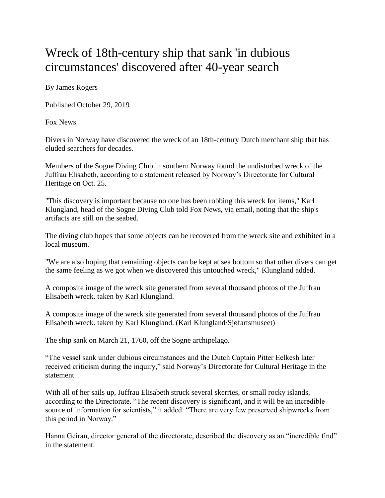## Wreck of 18th-century ship that sank 'in dubious circumstances' discovered after 40-year search

By James Rogers

Published October 29, 2019

Fox News

Divers in Norway have discovered the wreck of an 18th-century Dutch merchant ship that has eluded searchers for decades.

Members of the Sogne Diving Club in southern Norway found the undisturbed wreck of the Juffrau Elisabeth, according to a statement released by Norway's Directorate for Cultural Heritage on Oct. 25.

"This discovery is important because no one has been robbing this wreck for items," Karl Klungland, head of the Sogne Diving Club told Fox News, via email, noting that the ship's artifacts are still on the seabed.

The diving club hopes that some objects can be recovered from the wreck site and exhibited in a local museum.

"We are also hoping that remaining objects can be kept at sea bottom so that other divers can get the same feeling as we got when we discovered this untouched wreck," Klungland added.

A composite image of the wreck site generated from several thousand photos of the Juffrau Elisabeth wreck. taken by Karl Klungland.

A composite image of the wreck site generated from several thousand photos of the Juffrau Elisabeth wreck. taken by Karl Klungland. (Karl Klungland/Sjøfartsmuseet)

The ship sank on March 21, 1760, off the Sogne archipelago.

"The vessel sank under dubious circumstances and the Dutch Captain Pitter Eelkesh later received criticism during the inquiry," said Norway's Directorate for Cultural Heritage in the statement.

With all of her sails up, Juffrau Elisabeth struck several skerries, or small rocky islands, according to the Directorate. "The recent discovery is significant, and it will be an incredible source of information for scientists," it added. "There are very few preserved shipwrecks from this period in Norway."

Hanna Geiran, director general of the directorate, described the discovery as an "incredible find" in the statement.